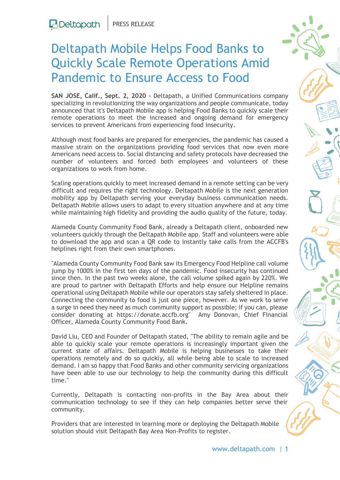## Deltapath Mobile Helps Food Banks to Quickly Scale Remote Operations Amid Pandemic to Ensure Access to Food

**SAN JOSE, Calif., Sept. 2, 2020 -** Deltapath, a Unified Communications company specializing in revolutionizing the way organizations and people communicate, today announced that it's Deltapath Mobile app is helping Food Banks to quickly scale their remote operations to meet the increased and ongoing demand for emergency services to prevent Americans from experiencing food insecurity.

Although most food banks are prepared for emergencies, the pandemic has caused a massive strain on the organizations providing food services that now even more Americans need access to. Social distancing and safety protocols have decreased the number of volunteers and forced both employees and volunteers of these organizations to work from home.

Scaling operations quickly to meet increased demand in a remote setting can be very difficult and requires the right technology. Deltapath Mobile is the next generation mobility app by Deltapath serving your everyday business communication needs. Deltapath Mobile allows users to adapt to every situation anywhere and at any time while maintaining high fidelity and providing the audio quality of the future, today.

Alameda County Community Food Bank, already a Deltapath client, onboarded new volunteers quickly through the Deltapath Mobile app. Staff and volunteers were able to download the app and scan a QR code to instantly take calls from the ACCFB's helplines right from their own smartphones.

"Alameda County Community Food Bank saw its Emergency Food Helpline call volume jump by 1000% in the first ten days of the pandemic. Food insecurity has continued since then. In the past two weeks alone, the call volume spiked again by 220%. We are proud to partner with Deltapath Efforts and help ensure our Helpline remains operational using Deltapath Mobile while our operators stay safely sheltered in place. Connecting the community to food is just one piece, however. As we work to serve a surge in need they need as much community support as possible; if you can, please consider donating at [https://donate.accfb.org"](https://donate.accfb.org/) Amy Donovan, Chief Financial Officer, Alameda County Community Food Bank.

David Liu, CEO and Founder of Deltapath stated, "The ability to remain agile and be able to quickly scale your remote operations is increasingly important given the current state of affairs. Deltapath Mobile is helping businesses to take their operations remotely and do so quickly, all while being able to scale to increased demand. I am so happy that Food Banks and other community servicing organizations have been able to use our technology to help the community during this difficult time."

Currently, Deltapath is contacting non-profits in the Bay Area about their communication technology to see if they can help companies better serve their community.

Providers that are interested in learning more or deploying the Deltapath Mobile solution should visit [Deltapath Bay Area Non-Profits](https://www.deltapath.com/nonprofits-and-coronavirus-covid-19-deltapath-helping-the-bay-area/) to register.